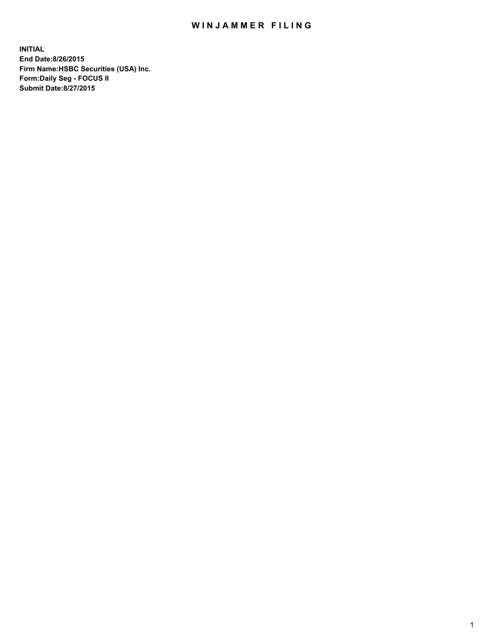## WIN JAMMER FILING

**INITIAL End Date:8/26/2015 Firm Name:HSBC Securities (USA) Inc. Form:Daily Seg - FOCUS II Submit Date:8/27/2015**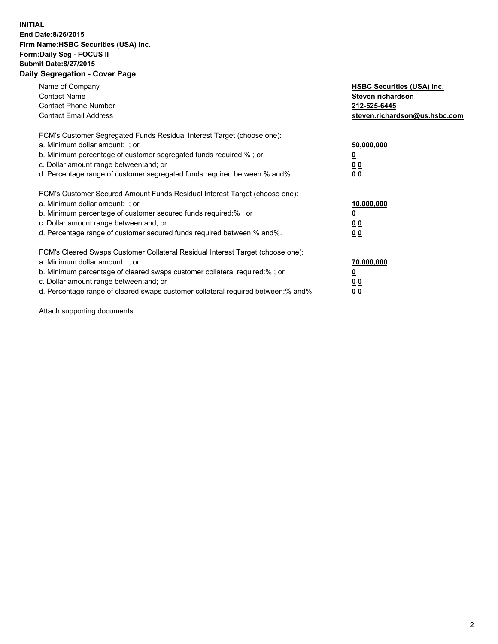## **INITIAL End Date:8/26/2015 Firm Name:HSBC Securities (USA) Inc. Form:Daily Seg - FOCUS II Submit Date:8/27/2015 Daily Segregation - Cover Page**

| Name of Company<br><b>Contact Name</b><br><b>Contact Phone Number</b><br><b>Contact Email Address</b>                                                                                                                                                                                                                          | <b>HSBC Securities (USA) Inc.</b><br>Steven richardson<br>212-525-6445<br>steven.richardson@us.hsbc.com |
|--------------------------------------------------------------------------------------------------------------------------------------------------------------------------------------------------------------------------------------------------------------------------------------------------------------------------------|---------------------------------------------------------------------------------------------------------|
| FCM's Customer Segregated Funds Residual Interest Target (choose one):<br>a. Minimum dollar amount: ; or<br>b. Minimum percentage of customer segregated funds required:%; or<br>c. Dollar amount range between: and; or<br>d. Percentage range of customer segregated funds required between: % and %.                        | 50,000,000<br>0 <sub>0</sub><br>0 <sub>0</sub>                                                          |
| FCM's Customer Secured Amount Funds Residual Interest Target (choose one):<br>a. Minimum dollar amount: ; or<br>b. Minimum percentage of customer secured funds required:%; or<br>c. Dollar amount range between: and; or<br>d. Percentage range of customer secured funds required between:% and%.                            | 10,000,000<br><u>0</u><br>0 <sub>0</sub><br>0 <sub>0</sub>                                              |
| FCM's Cleared Swaps Customer Collateral Residual Interest Target (choose one):<br>a. Minimum dollar amount: ; or<br>b. Minimum percentage of cleared swaps customer collateral required:% ; or<br>c. Dollar amount range between: and; or<br>d. Percentage range of cleared swaps customer collateral required between:% and%. | 70,000,000<br>00<br><u>00</u>                                                                           |

Attach supporting documents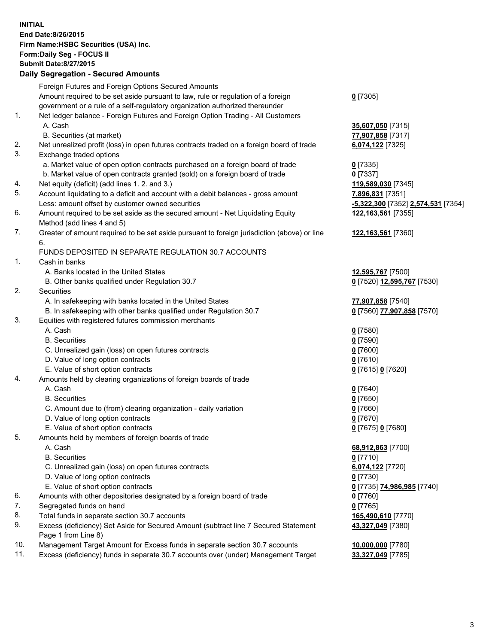**INITIAL End Date:8/26/2015 Firm Name:HSBC Securities (USA) Inc. Form:Daily Seg - FOCUS II Submit Date:8/27/2015 Daily Segregation - Secured Amounts**

Foreign Futures and Foreign Options Secured Amounts Amount required to be set aside pursuant to law, rule or regulation of a foreign government or a rule of a self-regulatory organization authorized thereunder **0** [7305] 1. Net ledger balance - Foreign Futures and Foreign Option Trading - All Customers A. Cash **35,607,050** [7315] B. Securities (at market) **77,907,858** [7317] 2. Net unrealized profit (loss) in open futures contracts traded on a foreign board of trade **6,074,122** [7325] 3. Exchange traded options a. Market value of open option contracts purchased on a foreign board of trade **0** [7335] b. Market value of open contracts granted (sold) on a foreign board of trade **0** [7337] 4. Net equity (deficit) (add lines 1. 2. and 3.) **119,589,030** [7345] 5. Account liquidating to a deficit and account with a debit balances - gross amount **7,896,831** [7351] Less: amount offset by customer owned securities **-5,322,300** [7352] **2,574,531** [7354] 6. Amount required to be set aside as the secured amount - Net Liquidating Equity Method (add lines 4 and 5) **122,163,561** [7355] 7. Greater of amount required to be set aside pursuant to foreign jurisdiction (above) or line 6. **122,163,561** [7360] FUNDS DEPOSITED IN SEPARATE REGULATION 30.7 ACCOUNTS 1. Cash in banks A. Banks located in the United States **12,595,767** [7500] B. Other banks qualified under Regulation 30.7 **0** [7520] **12,595,767** [7530] 2. Securities A. In safekeeping with banks located in the United States **77,907,858** [7540] B. In safekeeping with other banks qualified under Regulation 30.7 **0** [7560] **77,907,858** [7570] 3. Equities with registered futures commission merchants A. Cash **0** [7580] B. Securities **0** [7590] C. Unrealized gain (loss) on open futures contracts **0** [7600] D. Value of long option contracts **0** [7610] E. Value of short option contracts **0** [7615] **0** [7620] 4. Amounts held by clearing organizations of foreign boards of trade A. Cash **0** [7640] B. Securities **0** [7650] C. Amount due to (from) clearing organization - daily variation **0** [7660] D. Value of long option contracts **0** [7670] E. Value of short option contracts **0** [7675] **0** [7680] 5. Amounts held by members of foreign boards of trade A. Cash **68,912,863** [7700] B. Securities **0** [7710] C. Unrealized gain (loss) on open futures contracts **6,074,122** [7720] D. Value of long option contracts **0** [7730] E. Value of short option contracts **0** [7735] **74,986,985** [7740] 6. Amounts with other depositories designated by a foreign board of trade **0** [7760] 7. Segregated funds on hand **0** [7765] 8. Total funds in separate section 30.7 accounts **165,490,610** [7770] 9. Excess (deficiency) Set Aside for Secured Amount (subtract line 7 Secured Statement Page 1 from Line 8) **43,327,049** [7380] 10. Management Target Amount for Excess funds in separate section 30.7 accounts **10,000,000** [7780] 11. Excess (deficiency) funds in separate 30.7 accounts over (under) Management Target **33,327,049** [7785]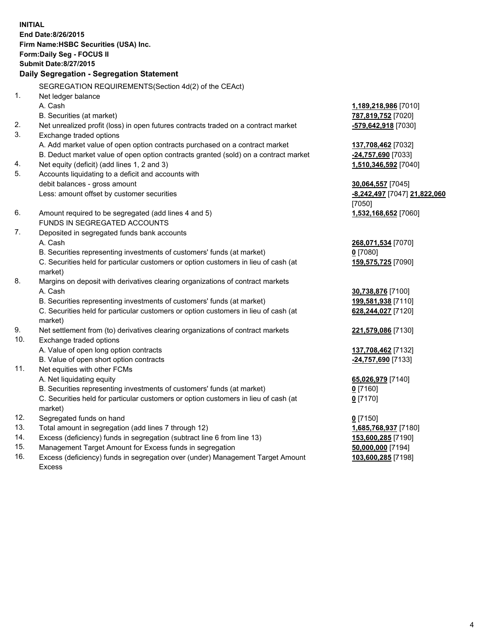**INITIAL End Date:8/26/2015 Firm Name:HSBC Securities (USA) Inc. Form:Daily Seg - FOCUS II Submit Date:8/27/2015 Daily Segregation - Segregation Statement** SEGREGATION REQUIREMENTS(Section 4d(2) of the CEAct) 1. Net ledger balance A. Cash **1,189,218,986** [7010] B. Securities (at market) **787,819,752** [7020] 2. Net unrealized profit (loss) in open futures contracts traded on a contract market **-579,642,918** [7030] 3. Exchange traded options A. Add market value of open option contracts purchased on a contract market **137,708,462** [7032] B. Deduct market value of open option contracts granted (sold) on a contract market **-24,757,690** [7033] 4. Net equity (deficit) (add lines 1, 2 and 3) **1,510,346,592** [7040] 5. Accounts liquidating to a deficit and accounts with debit balances - gross amount **30,064,557** [7045] Less: amount offset by customer securities **-8,242,497** [7047] **21,822,060** [7050] 6. Amount required to be segregated (add lines 4 and 5) **1,532,168,652** [7060] FUNDS IN SEGREGATED ACCOUNTS 7. Deposited in segregated funds bank accounts A. Cash **268,071,534** [7070] B. Securities representing investments of customers' funds (at market) **0** [7080] C. Securities held for particular customers or option customers in lieu of cash (at market) **159,575,725** [7090] 8. Margins on deposit with derivatives clearing organizations of contract markets A. Cash **30,738,876** [7100] B. Securities representing investments of customers' funds (at market) **199,581,938** [7110] C. Securities held for particular customers or option customers in lieu of cash (at market) **628,244,027** [7120] 9. Net settlement from (to) derivatives clearing organizations of contract markets **221,579,086** [7130] 10. Exchange traded options A. Value of open long option contracts **137,708,462** [7132] B. Value of open short option contracts **-24,757,690** [7133] 11. Net equities with other FCMs A. Net liquidating equity **65,026,979** [7140] B. Securities representing investments of customers' funds (at market) **0** [7160] C. Securities held for particular customers or option customers in lieu of cash (at market) **0** [7170] 12. Segregated funds on hand **0** [7150] 13. Total amount in segregation (add lines 7 through 12) **1,685,768,937** [7180] 14. Excess (deficiency) funds in segregation (subtract line 6 from line 13) **153,600,285** [7190] 15. Management Target Amount for Excess funds in segregation **50,000,000** [7194] 16. Excess (deficiency) funds in segregation over (under) Management Target Amount **103,600,285** [7198]

Excess

4